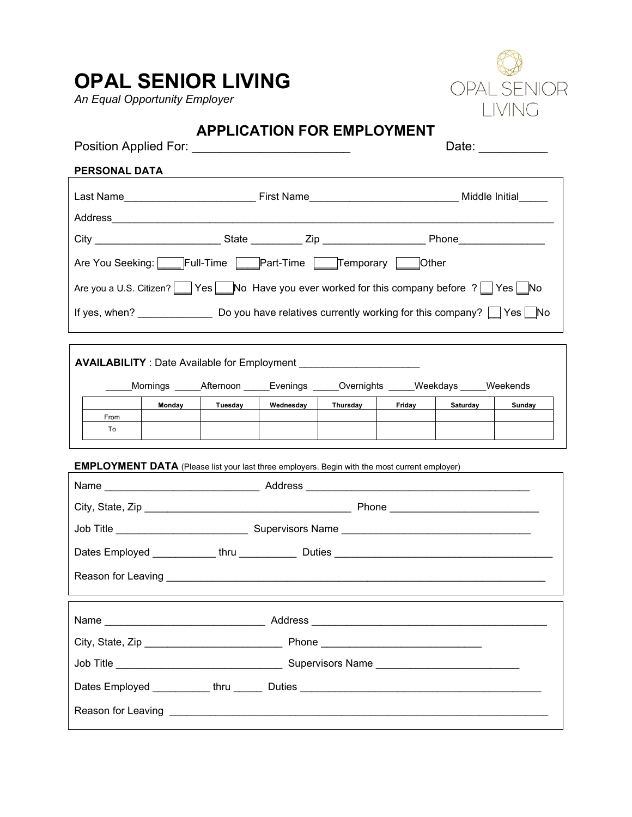# **OPAL SENIOR LIVING**

*An Equal Opportunity Employer*



| Position Applied For: _______________________________                                                   |                                                                                                            | <b>APPLICATION FOR EMPLOYMENT</b> |  |                 |                 | Date: $\frac{1}{\sqrt{1-\frac{1}{2}}\cdot\frac{1}{2}}$ |
|---------------------------------------------------------------------------------------------------------|------------------------------------------------------------------------------------------------------------|-----------------------------------|--|-----------------|-----------------|--------------------------------------------------------|
| PERSONAL DATA                                                                                           |                                                                                                            |                                   |  |                 |                 |                                                        |
|                                                                                                         |                                                                                                            |                                   |  |                 |                 |                                                        |
|                                                                                                         |                                                                                                            |                                   |  |                 |                 |                                                        |
|                                                                                                         |                                                                                                            |                                   |  |                 |                 |                                                        |
| Are You Seeking: Full-Time Part-Time Temporary Other                                                    |                                                                                                            |                                   |  |                 |                 |                                                        |
| Are you a U.S. Citizen? Yes No Have you ever worked for this company before ? Yes No                    |                                                                                                            |                                   |  |                 |                 |                                                        |
| If yes, when? _________________________Do you have relatives currently working for this company? Des No |                                                                                                            |                                   |  |                 |                 |                                                        |
|                                                                                                         |                                                                                                            |                                   |  |                 |                 |                                                        |
| <b>AVAILABILITY</b> : Date Available for Employment __________________________________                  |                                                                                                            |                                   |  |                 |                 |                                                        |
|                                                                                                         |                                                                                                            |                                   |  |                 |                 |                                                        |
|                                                                                                         | Mornings ______Afternoon ______Evenings ______Overnights ______Weekdays _____Weekends<br>Tuesday<br>Monday | Wednesday                         |  | Thursday Friday | <b>Saturday</b> | <b>Sunday</b>                                          |
| From                                                                                                    |                                                                                                            |                                   |  |                 |                 |                                                        |
| To                                                                                                      |                                                                                                            |                                   |  |                 |                 |                                                        |
|                                                                                                         |                                                                                                            |                                   |  |                 |                 |                                                        |
|                                                                                                         | <b>EMPLOYMENT DATA</b> (Please list your last three employers. Begin with the most current employer)       |                                   |  |                 |                 |                                                        |
|                                                                                                         |                                                                                                            |                                   |  |                 |                 |                                                        |
|                                                                                                         |                                                                                                            |                                   |  |                 |                 |                                                        |
|                                                                                                         |                                                                                                            |                                   |  |                 |                 |                                                        |
|                                                                                                         |                                                                                                            |                                   |  |                 |                 |                                                        |
|                                                                                                         |                                                                                                            |                                   |  |                 |                 |                                                        |
|                                                                                                         |                                                                                                            |                                   |  |                 |                 |                                                        |
|                                                                                                         |                                                                                                            |                                   |  |                 |                 |                                                        |
|                                                                                                         |                                                                                                            |                                   |  |                 |                 |                                                        |
| Dates Employed ___________thru _____                                                                    |                                                                                                            |                                   |  |                 |                 |                                                        |

Reason for Leaving \_\_\_\_\_\_\_\_\_\_\_\_\_\_\_\_\_\_\_\_\_\_\_\_\_\_\_\_\_\_\_\_\_\_\_\_\_\_\_\_\_\_\_\_\_\_\_\_\_\_\_\_\_\_\_\_\_\_\_\_\_\_\_\_\_\_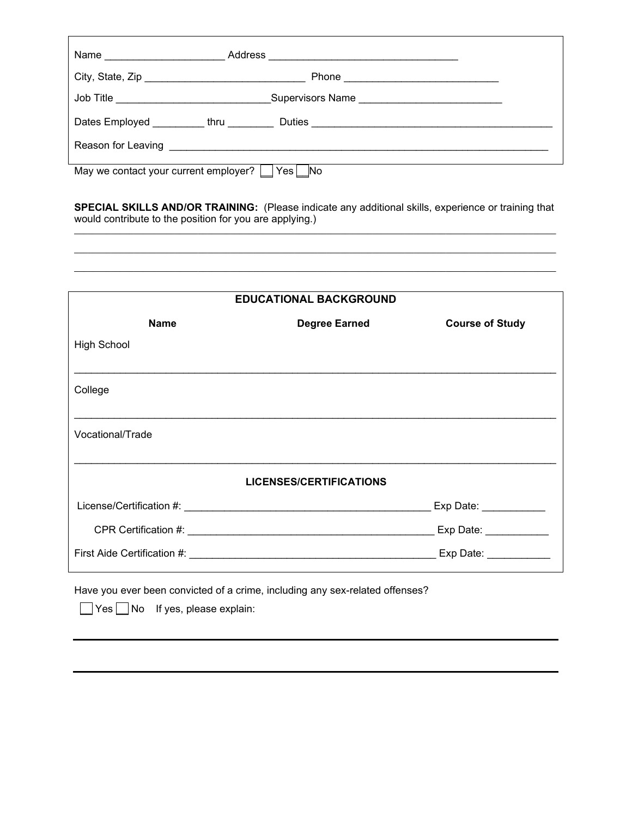| Name                                                                                                                                                                                                                           |                                                                                                                                                                                                                                |  |  |
|--------------------------------------------------------------------------------------------------------------------------------------------------------------------------------------------------------------------------------|--------------------------------------------------------------------------------------------------------------------------------------------------------------------------------------------------------------------------------|--|--|
|                                                                                                                                                                                                                                | Phone experience and the phone of the state of the state of the state of the state of the state of the state of the state of the state of the state of the state of the state of the state of the state of the state of the st |  |  |
| Job Title _______________________________                                                                                                                                                                                      | Supervisors Name                                                                                                                                                                                                               |  |  |
| Dates Employed _________thru _______                                                                                                                                                                                           |                                                                                                                                                                                                                                |  |  |
| Reason for Leaving the contract of the contract of the contract of the contract of the contract of the contract of the contract of the contract of the contract of the contract of the contract of the contract of the contrac |                                                                                                                                                                                                                                |  |  |
| May we contact your current employer?<br>Yes  <br><b>No</b>                                                                                                                                                                    |                                                                                                                                                                                                                                |  |  |

**SPECIAL SKILLS AND/OR TRAINING:** (Please indicate any additional skills, experience or training that would contribute to the position for you are applying.)  $\mathcal{L}_\mathcal{L} = \mathcal{L}_\mathcal{L} = \mathcal{L}_\mathcal{L} = \mathcal{L}_\mathcal{L} = \mathcal{L}_\mathcal{L} = \mathcal{L}_\mathcal{L} = \mathcal{L}_\mathcal{L} = \mathcal{L}_\mathcal{L} = \mathcal{L}_\mathcal{L} = \mathcal{L}_\mathcal{L} = \mathcal{L}_\mathcal{L} = \mathcal{L}_\mathcal{L} = \mathcal{L}_\mathcal{L} = \mathcal{L}_\mathcal{L} = \mathcal{L}_\mathcal{L} = \mathcal{L}_\mathcal{L} = \mathcal{L}_\mathcal{L}$ 

 $\mathcal{L}_\mathcal{L} = \mathcal{L}_\mathcal{L} = \mathcal{L}_\mathcal{L} = \mathcal{L}_\mathcal{L} = \mathcal{L}_\mathcal{L} = \mathcal{L}_\mathcal{L} = \mathcal{L}_\mathcal{L} = \mathcal{L}_\mathcal{L} = \mathcal{L}_\mathcal{L} = \mathcal{L}_\mathcal{L} = \mathcal{L}_\mathcal{L} = \mathcal{L}_\mathcal{L} = \mathcal{L}_\mathcal{L} = \mathcal{L}_\mathcal{L} = \mathcal{L}_\mathcal{L} = \mathcal{L}_\mathcal{L} = \mathcal{L}_\mathcal{L}$ \_\_\_\_\_\_\_\_\_\_\_\_\_\_\_\_\_\_\_\_\_\_\_\_\_\_\_\_\_\_\_\_\_\_\_\_\_\_\_\_\_\_\_\_\_\_\_\_\_\_\_\_\_\_\_\_\_\_\_\_\_\_\_\_\_\_\_\_\_\_\_\_\_\_\_\_\_\_\_\_\_\_\_\_\_\_\_\_\_\_\_\_\_\_\_\_\_\_\_\_\_\_\_\_\_

| <b>EDUCATIONAL BACKGROUND</b>                                                                                  |                      |                        |  |  |
|----------------------------------------------------------------------------------------------------------------|----------------------|------------------------|--|--|
|                                                                                                                |                      |                        |  |  |
| <b>Name</b>                                                                                                    | <b>Degree Earned</b> | <b>Course of Study</b> |  |  |
| <b>High School</b>                                                                                             |                      |                        |  |  |
| College                                                                                                        |                      |                        |  |  |
| Vocational/Trade                                                                                               |                      |                        |  |  |
| <b>LICENSES/CERTIFICATIONS</b>                                                                                 |                      |                        |  |  |
|                                                                                                                |                      | Exp Date: ___________  |  |  |
|                                                                                                                |                      |                        |  |  |
|                                                                                                                |                      |                        |  |  |
| Have you ever been convicted of a crime, including any sex-related offenses?<br>Yes No If yes, please explain: |                      |                        |  |  |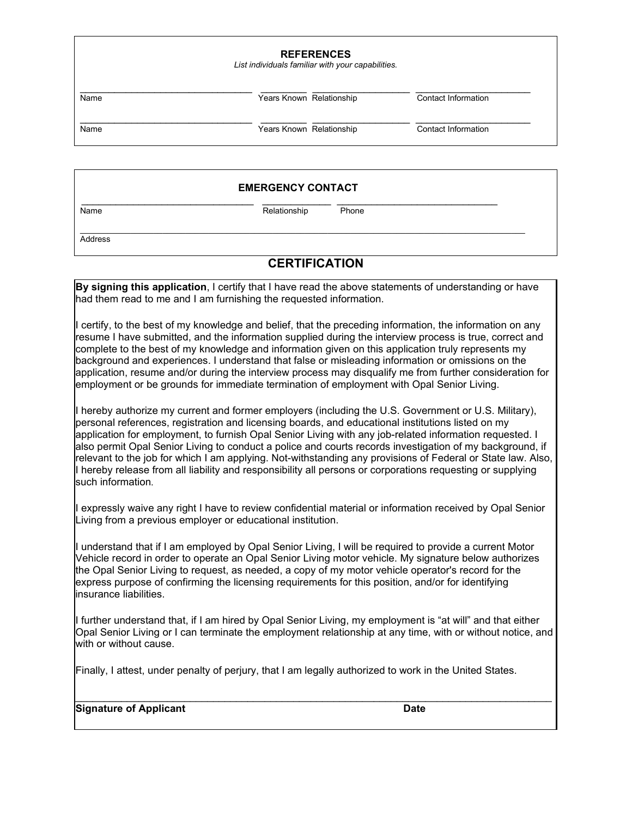| <b>REFERENCES</b><br>List individuals familiar with your capabilities. |                          |  |                     |  |
|------------------------------------------------------------------------|--------------------------|--|---------------------|--|
| Name                                                                   | Years Known Relationship |  | Contact Information |  |
| Name                                                                   | Years Known Relationship |  | Contact Information |  |

#### **EMERGENCY CONTACT**

 $\overline{\phantom{a}}$  , and the contribution of the contribution of the contribution of the contribution of the contribution of the contribution of the contribution of the contribution of the contribution of the contribution of the

\_\_\_\_\_\_\_\_\_\_\_\_\_\_\_\_\_\_\_\_\_\_\_\_\_\_\_\_\_\_ \_\_\_\_\_\_\_\_\_\_\_\_ \_\_\_\_\_\_\_\_\_\_\_\_\_\_\_\_\_\_\_\_\_\_\_\_\_\_\_\_ Name Relationship Phone

**Address** 

### **CERTIFICATION**

**By signing this application**, I certify that I have read the above statements of understanding or have had them read to me and I am furnishing the requested information. I certify, to the best of my knowledge and belief, that the preceding information, the information on any resume I have submitted, and the information supplied during the interview process is true, correct and complete to the best of my knowledge and information given on this application truly represents my background and experiences. I understand that false or misleading information or omissions on the application, resume and/or during the interview process may disqualify me from further consideration for employment or be grounds for immediate termination of employment with Opal Senior Living. I hereby authorize my current and former employers (including the U.S. Government or U.S. Military), personal references, registration and licensing boards, and educational institutions listed on my application for employment, to furnish Opal Senior Living with any job-related information requested. I also permit Opal Senior Living to conduct a police and courts records investigation of my background, if relevant to the job for which I am applying. Not-withstanding any provisions of Federal or State law. Also, I hereby release from all liability and responsibility all persons or corporations requesting or supplying such information. I expressly waive any right I have to review confidential material or information received by Opal Senior Living from a previous employer or educational institution.

I understand that if I am employed by Opal Senior Living, I will be required to provide a current Motor Vehicle record in order to operate an Opal Senior Living motor vehicle. My signature below authorizes the Opal Senior Living to request, as needed, a copy of my motor vehicle operator's record for the express purpose of confirming the licensing requirements for this position, and/or for identifying insurance liabilities.

I further understand that, if I am hired by Opal Senior Living, my employment is "at will" and that either Opal Senior Living or I can terminate the employment relationship at any time, with or without notice, and with or without cause.

Finally, I attest, under penalty of perjury, that I am legally authorized to work in the United States.

#### **Signature of Applicant** Date **Date Date**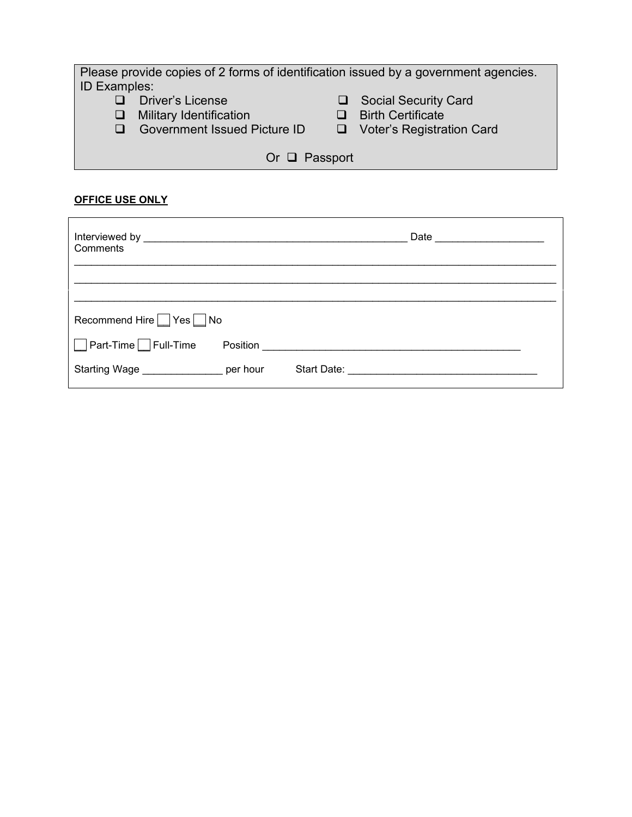| Please provide copies of 2 forms of identification issued by a government agencies. |                                  |  |  |  |  |
|-------------------------------------------------------------------------------------|----------------------------------|--|--|--|--|
| <b>ID Examples:</b>                                                                 |                                  |  |  |  |  |
| <b>Driver's License</b>                                                             | <b>Social Security Card</b>      |  |  |  |  |
| $\Box$ Military Identification                                                      | <b>Birth Certificate</b>         |  |  |  |  |
| <b>Government Issued Picture ID</b><br>$\Box$                                       | $\Box$ Voter's Registration Card |  |  |  |  |
|                                                                                     |                                  |  |  |  |  |
| Or $\Box$ Passport                                                                  |                                  |  |  |  |  |

## **OFFICE USE ONLY**

| Interviewed by <b>Executive Service Service Service Service Service Service Service Service Service Service Service Service Service Service Service Service Service Service Service Service Service Service Service Service Serv</b><br>Comments |          |             | Date |  |
|--------------------------------------------------------------------------------------------------------------------------------------------------------------------------------------------------------------------------------------------------|----------|-------------|------|--|
|                                                                                                                                                                                                                                                  |          |             |      |  |
| Recommend Hire Yes No                                                                                                                                                                                                                            |          |             |      |  |
| Part-Time <sup>N</sup> Full-Time                                                                                                                                                                                                                 | Position |             |      |  |
| Starting Wage                                                                                                                                                                                                                                    | per hour | Start Date: |      |  |